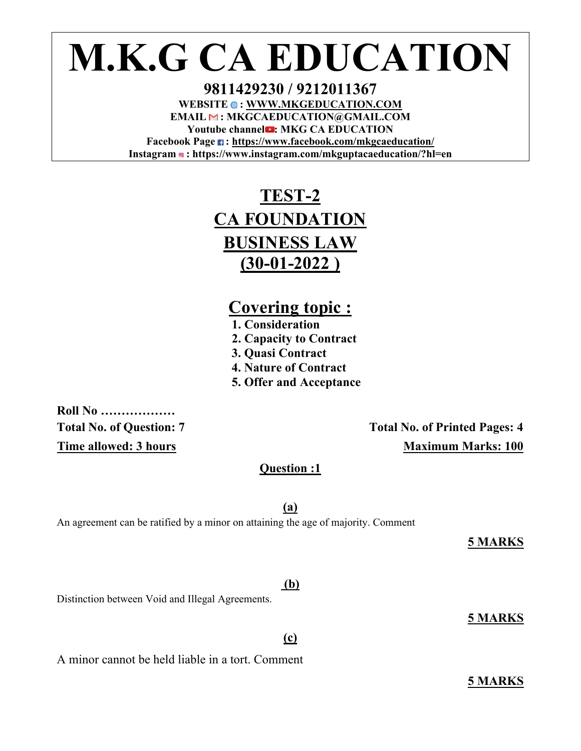# **M.K.G CA EDUCATION**

**9811429230 / 9212011367**  WEBSITE  $\bullet$ : WWW.MKGEDUCATION.COM **EMAIL : MKGCAEDUCATION@GMAIL.COM**  Youtube channel **:** MKG CA EDUCATION **Facebook Page : https://www.facebook.com/mkgcaeducation/ Instagram : https://www.instagram.com/mkguptacaeducation/?hl=en** 

## **TEST-2 CA FOUNDATION BUSINESS LAW (30-01-2022 )**

## **Covering topic : 1. Consideration**

- 
- **2. Capacity to Contract**
- **3. Quasi Contract**
- **4. Nature of Contract**
- **5. Offer and Acceptance**

**Roll No ………………** 

Total No. of Question: 7 **Total No. of Printed Pages: 4 Time allowed: 3 hours** Maximum Marks: 100

**Question :1** 

**(a)** 

An agreement can be ratified by a minor on attaining the age of majority. Comment

**5 MARKS** 

Distinction between Void and Illegal Agreements.

A minor cannot be held liable in a tort. Comment

**5 MARKS** 

**5 MARKS** 

#### **(b)**

**(c)**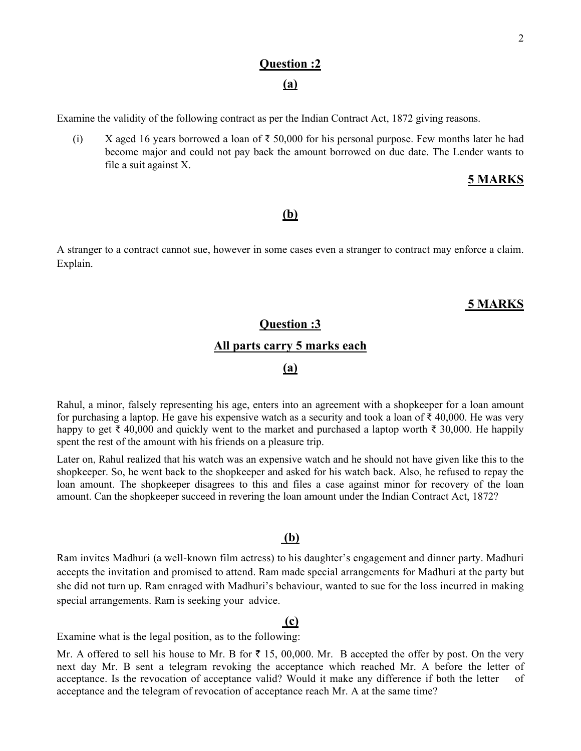## **Question :2**

#### **(a)**

Examine the validity of the following contract as per the Indian Contract Act, 1872 giving reasons.

(i) X aged 16 years borrowed a loan of  $\bar{\xi}$  50,000 for his personal purpose. Few months later he had become major and could not pay back the amount borrowed on due date. The Lender wants to file a suit against X.

#### **5 MARKS**

#### **(b)**

A stranger to a contract cannot sue, however in some cases even a stranger to contract may enforce a claim. Explain.

#### **5 MARKS**

#### **Question :3**

#### **All parts carry 5 marks each**

#### **(a)**

Rahul, a minor, falsely representing his age, enters into an agreement with a shopkeeper for a loan amount for purchasing a laptop. He gave his expensive watch as a security and took a loan of  $\bar{\tau}$  40,000. He was very happy to get ₹ 40,000 and quickly went to the market and purchased a laptop worth ₹ 30,000. He happily spent the rest of the amount with his friends on a pleasure trip.

Later on, Rahul realized that his watch was an expensive watch and he should not have given like this to the shopkeeper. So, he went back to the shopkeeper and asked for his watch back. Also, he refused to repay the loan amount. The shopkeeper disagrees to this and files a case against minor for recovery of the loan amount. Can the shopkeeper succeed in revering the loan amount under the Indian Contract Act, 1872?

#### **(b)**

Ram invites Madhuri (a well-known film actress) to his daughter's engagement and dinner party. Madhuri accepts the invitation and promised to attend. Ram made special arrangements for Madhuri at the party but she did not turn up. Ram enraged with Madhuri's behaviour, wanted to sue for the loss incurred in making special arrangements. Ram is seeking your advice.

#### **(c)**

Examine what is the legal position, as to the following:

Mr. A offered to sell his house to Mr. B for  $\bar{\tau}$  15, 00,000. Mr. B accepted the offer by post. On the very next day Mr. B sent a telegram revoking the acceptance which reached Mr. A before the letter of acceptance. Is the revocation of acceptance valid? Would it make any difference if both the letter of acceptance and the telegram of revocation of acceptance reach Mr. A at the same time?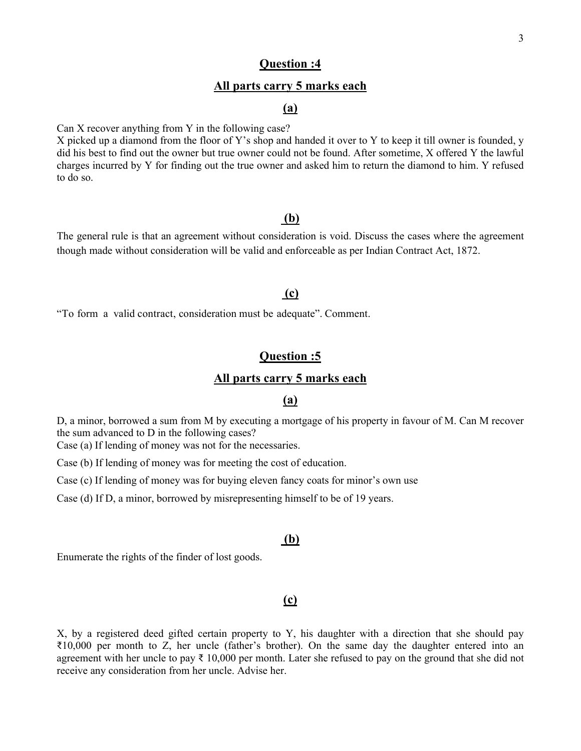#### **Question :4**

#### **All parts carry 5 marks each**

#### **(a)**

Can X recover anything from Y in the following case?

X picked up a diamond from the floor of Y's shop and handed it over to Y to keep it till owner is founded, y did his best to find out the owner but true owner could not be found. After sometime, X offered Y the lawful charges incurred by Y for finding out the true owner and asked him to return the diamond to him. Y refused to do so.

#### **(b)**

The general rule is that an agreement without consideration is void. Discuss the cases where the agreement though made without consideration will be valid and enforceable as per Indian Contract Act, 1872.

#### **(c)**

"To form a valid contract, consideration must be adequate". Comment.

#### **Question :5**

#### **All parts carry 5 marks each**

#### **(a)**

D, a minor, borrowed a sum from M by executing a mortgage of his property in favour of M. Can M recover the sum advanced to D in the following cases?

Case (a) If lending of money was not for the necessaries.

Case (b) If lending of money was for meeting the cost of education.

Case (c) If lending of money was for buying eleven fancy coats for minor's own use

Case (d) If D, a minor, borrowed by misrepresenting himself to be of 19 years.

#### **(b)**

Enumerate the rights of the finder of lost goods.

#### **(c)**

X, by a registered deed gifted certain property to Y, his daughter with a direction that she should pay ₹10,000 per month to Z, her uncle (father's brother). On the same day the daughter entered into an agreement with her uncle to pay  $\bar{\tau}$  10,000 per month. Later she refused to pay on the ground that she did not receive any consideration from her uncle. Advise her.